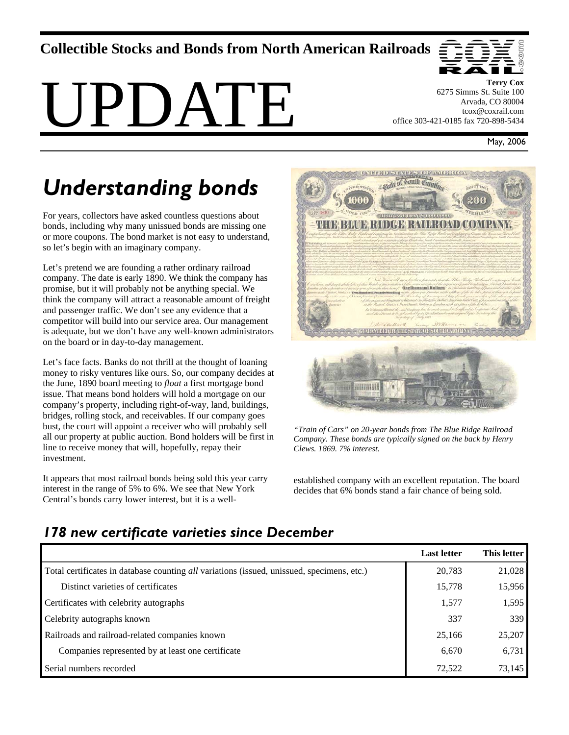## **Collectible Stocks and Bonds from North American Railroads**





**Terry Cox**  6275 Simms St. Suite 100 Arvada, CO 80004 tcox@coxrail.com office 303-421-0185 fax 720-898-5434

May, 2006

# *Understanding bonds*

For years, collectors have asked countless questions about bonds, including why many unissued bonds are missing one or more coupons. The bond market is not easy to understand, so let's begin with an imaginary company.

Let's pretend we are founding a rather ordinary railroad company. The date is early 1890. We think the company has promise, but it will probably not be anything special. We think the company will attract a reasonable amount of freight and passenger traffic. We don't see any evidence that a competitor will build into our service area. Our management is adequate, but we don't have any well-known administrators on the board or in day-to-day management.

Let's face facts. Banks do not thrill at the thought of loaning money to risky ventures like ours. So, our company decides at the June, 1890 board meeting to *float* a first mortgage bond issue. That means bond holders will hold a mortgage on our company's property, including right-of-way, land, buildings, bridges, rolling stock, and receivables. If our company goes bust, the court will appoint a receiver who will probably sell all our property at public auction. Bond holders will be first in line to receive money that will, hopefully, repay their investment.

It appears that most railroad bonds being sold this year carry interest in the range of 5% to 6%. We see that New York Central's bonds carry lower interest, but it is a well-



*"Train of Cars" on 20-year bonds from The Blue Ridge Railroad Company. These bonds are typically signed on the back by Henry Clews. 1869. 7% interest.* 

established company with an excellent reputation. The board decides that 6% bonds stand a fair chance of being sold.

## *178 new certificate varieties since December*

|                                                                                            | <b>Last letter</b> | <b>This letter</b> |
|--------------------------------------------------------------------------------------------|--------------------|--------------------|
| Total certificates in database counting all variations (issued, unissued, specimens, etc.) | 20,783             | 21,028             |
| Distinct varieties of certificates                                                         | 15,778             | 15,956             |
| Certificates with celebrity autographs                                                     | 1,577              | 1,595              |
| Celebrity autographs known                                                                 | 337                | 339                |
| Railroads and railroad-related companies known                                             | 25,166             | 25,207             |
| Companies represented by at least one certificate                                          | 6,670              | 6,731              |
| Serial numbers recorded                                                                    | 72,522             | 73,145             |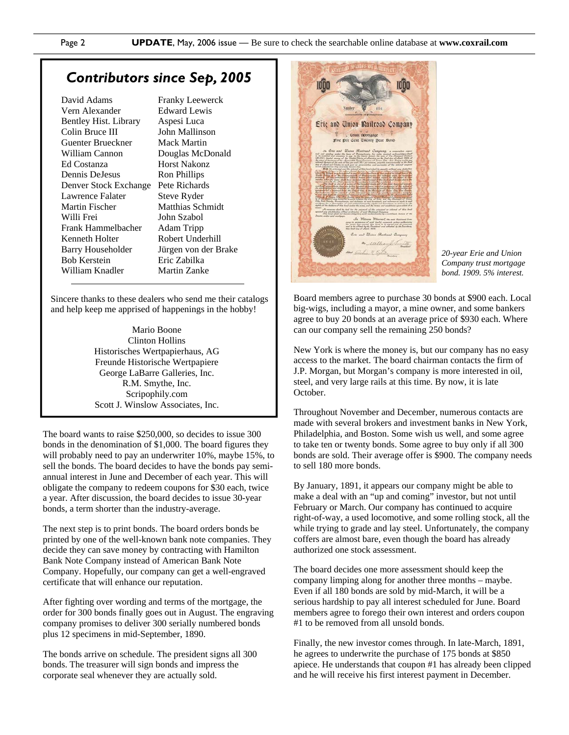#### *Contributors since Sep, 2005*

David Adams Vern Alexander Bentley Hist. Library Colin Bruce III Guenter Brueckner William Cannon Ed Costanza Dennis DeJesus Denver Stock Exchange Pete Richards Lawrence Falater Martin Fischer Willi Frei Frank Hammelbacher Kenneth Holter Barry Householder Bob Kerstein William Knadler

Franky Leewerck Edward Lewis Aspesi Luca John Mallinson Mack Martin Douglas McDonald Horst Nakonz Ron Phillips Steve Ryder Matthias Schmidt John Szabol Adam Tripp Robert Underhill Jürgen von der Brake Eric Zabilka Martin Zanke

Sincere thanks to these dealers who send me their catalogs and help keep me apprised of happenings in the hobby!

> Mario Boone Clinton Hollins Historisches Wertpapierhaus, AG Freunde Historische Wertpapiere George LaBarre Galleries, Inc. R.M. Smythe, Inc. Scripophily.com Scott J. Winslow Associates, Inc.

The board wants to raise \$250,000, so decides to issue 300 bonds in the denomination of \$1,000. The board figures they will probably need to pay an underwriter 10%, maybe 15%, to sell the bonds. The board decides to have the bonds pay semiannual interest in June and December of each year. This will obligate the company to redeem coupons for \$30 each, twice a year. After discussion, the board decides to issue 30-year bonds, a term shorter than the industry-average.

The next step is to print bonds. The board orders bonds be printed by one of the well-known bank note companies. They decide they can save money by contracting with Hamilton Bank Note Company instead of American Bank Note Company. Hopefully, our company can get a well-engraved certificate that will enhance our reputation.

After fighting over wording and terms of the mortgage, the order for 300 bonds finally goes out in August. The engraving company promises to deliver 300 serially numbered bonds plus 12 specimens in mid-September, 1890.

The bonds arrive on schedule. The president signs all 300 bonds. The treasurer will sign bonds and impress the corporate seal whenever they are actually sold.



*20-year Erie and Union Company trust mortgage bond. 1909. 5% interest.* 

Board members agree to purchase 30 bonds at \$900 each. Local big-wigs, including a mayor, a mine owner, and some bankers agree to buy 20 bonds at an average price of \$930 each. Where can our company sell the remaining 250 bonds?

New York is where the money is, but our company has no easy access to the market. The board chairman contacts the firm of J.P. Morgan, but Morgan's company is more interested in oil, steel, and very large rails at this time. By now, it is late October.

Throughout November and December, numerous contacts are made with several brokers and investment banks in New York, Philadelphia, and Boston. Some wish us well, and some agree to take ten or twenty bonds. Some agree to buy only if all 300 bonds are sold. Their average offer is \$900. The company needs to sell 180 more bonds.

By January, 1891, it appears our company might be able to make a deal with an "up and coming" investor, but not until February or March. Our company has continued to acquire right-of-way, a used locomotive, and some rolling stock, all the while trying to grade and lay steel. Unfortunately, the company coffers are almost bare, even though the board has already authorized one stock assessment.

The board decides one more assessment should keep the company limping along for another three months – maybe. Even if all 180 bonds are sold by mid-March, it will be a serious hardship to pay all interest scheduled for June. Board members agree to forego their own interest and orders coupon #1 to be removed from all unsold bonds.

Finally, the new investor comes through. In late-March, 1891, he agrees to underwrite the purchase of 175 bonds at \$850 apiece. He understands that coupon #1 has already been clipped and he will receive his first interest payment in December.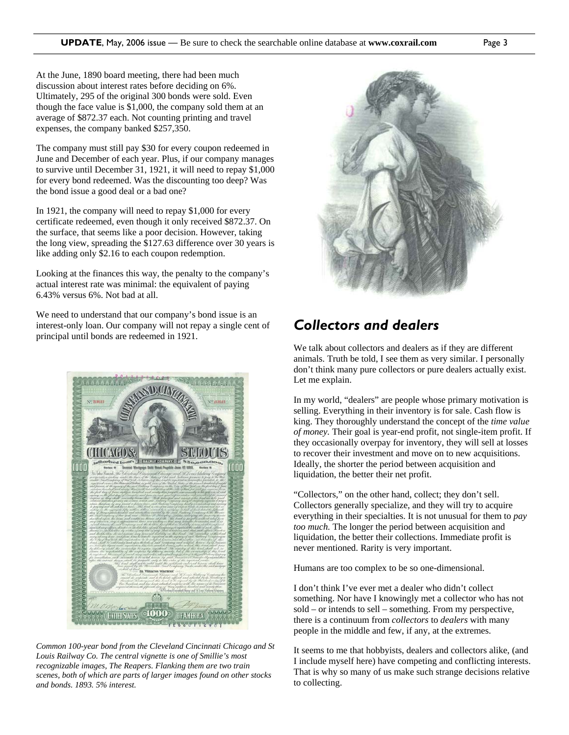At the June, 1890 board meeting, there had been much discussion about interest rates before deciding on 6%. Ultimately, 295 of the original 300 bonds were sold. Even though the face value is \$1,000, the company sold them at an average of \$872.37 each. Not counting printing and travel expenses, the company banked \$257,350.

The company must still pay \$30 for every coupon redeemed in June and December of each year. Plus, if our company manages to survive until December 31, 1921, it will need to repay \$1,000 for every bond redeemed. Was the discounting too deep? Was the bond issue a good deal or a bad one?

In 1921, the company will need to repay \$1,000 for every certificate redeemed, even though it only received \$872.37. On the surface, that seems like a poor decision. However, taking the long view, spreading the \$127.63 difference over 30 years is like adding only \$2.16 to each coupon redemption.

Looking at the finances this way, the penalty to the company's actual interest rate was minimal: the equivalent of paying 6.43% versus 6%. Not bad at all.

We need to understand that our company's bond issue is an interest-only loan. Our company will not repay a single cent of principal until bonds are redeemed in 1921.



*Common 100-year bond from the Cleveland Cincinnati Chicago and St Louis Railway Co. The central vignette is one of Smillie's most recognizable images, The Reapers. Flanking them are two train scenes, both of which are parts of larger images found on other stocks and bonds. 1893. 5% interest.* 



#### *Collectors and dealers*

We talk about collectors and dealers as if they are different animals. Truth be told, I see them as very similar. I personally don't think many pure collectors or pure dealers actually exist. Let me explain.

In my world, "dealers" are people whose primary motivation is selling. Everything in their inventory is for sale. Cash flow is king. They thoroughly understand the concept of the *time value of money.* Their goal is year-end profit, not single-item profit. If they occasionally overpay for inventory, they will sell at losses to recover their investment and move on to new acquisitions. Ideally, the shorter the period between acquisition and liquidation, the better their net profit.

"Collectors," on the other hand, collect; they don't sell. Collectors generally specialize, and they will try to acquire everything in their specialties. It is not unusual for them to *pay too much.* The longer the period between acquisition and liquidation, the better their collections. Immediate profit is never mentioned. Rarity is very important.

Humans are too complex to be so one-dimensional.

I don't think I've ever met a dealer who didn't collect something. Nor have I knowingly met a collector who has not sold – or intends to sell – something. From my perspective, there is a continuum from *collectors* to *dealers* with many people in the middle and few, if any, at the extremes.

It seems to me that hobbyists, dealers and collectors alike, (and I include myself here) have competing and conflicting interests. That is why so many of us make such strange decisions relative to collecting.